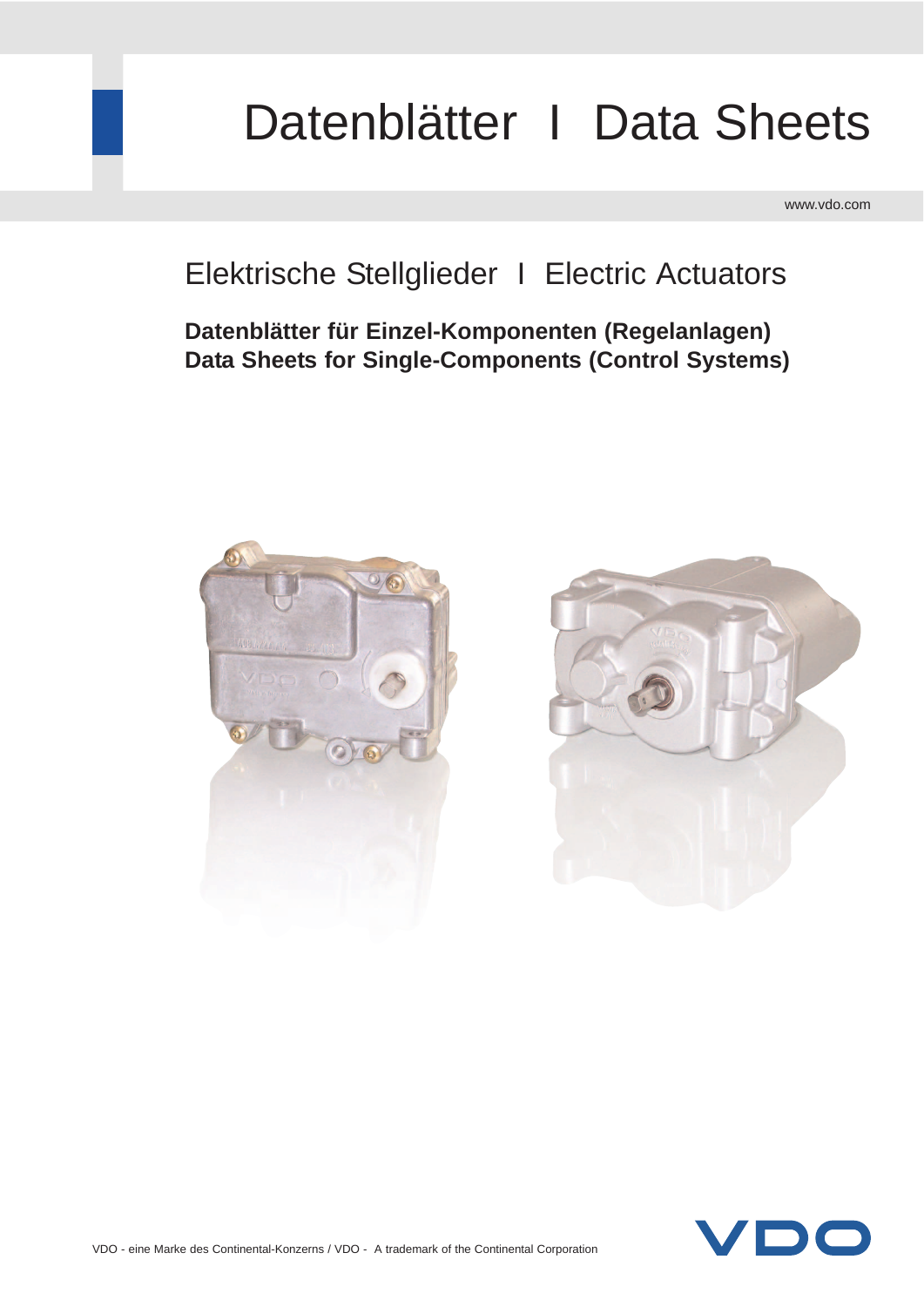# Datenblätter | Data Sheets

www.vdo.com

## Elektrische Stellglieder I Electric Actuators

**Datenblätter für Einzel-Komponenten (Regelanlagen) Data Sheets for Single-Components (Control Systems)**





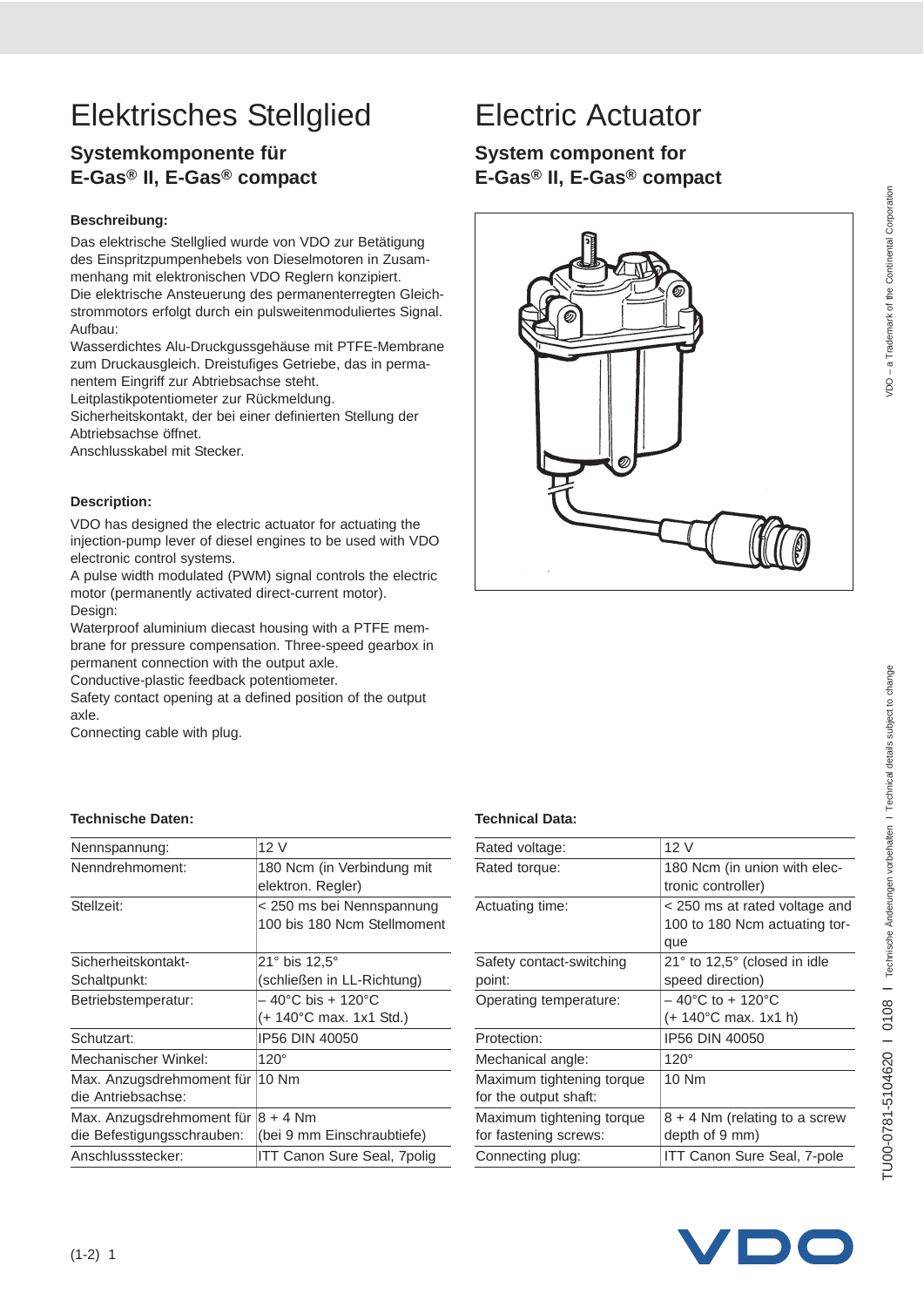## **Systemkomponente für E-Gas® II, E-Gas® compact**

#### **Beschreibung:**

Das elektrische Stellglied wurde von VDO zur Betätigung des Einspritzpumpenhebels von Dieselmotoren in Zusammenhang mit elektronischen VDO Reglern konzipiert. Die elektrische Ansteuerung des permanenterregten Gleichstrommotors erfolgt durch ein pulsweitenmoduliertes Signal. Aufbau:

Wasserdichtes Alu-Druckgussgehäuse mit PTFE-Membrane zum Druckausgleich. Dreistufiges Getriebe, das in permanentem Eingriff zur Abtriebsachse steht.

Leitplastikpotentiometer zur Rückmeldung.

Sicherheitskontakt, der bei einer definierten Stellung der Abtriebsachse öffnet.

Anschlusskabel mit Stecker.

#### **Description:**

VDO has designed the electric actuator for actuating the injection-pump lever of diesel engines to be used with VDO electronic control systems.

A pulse width modulated (PWM) signal controls the electric motor (permanently activated direct-current motor). Design:

Waterproof aluminium diecast housing with a PTFE membrane for pressure compensation. Three-speed gearbox in permanent connection with the output axle.

Conductive-plastic feedback potentiometer.

Safety contact opening at a defined position of the output axle.

Connecting cable with plug.

#### **Technische Daten: Technical Data:**

| 12 V                        |
|-----------------------------|
| 180 Ncm (in Verbindung mit  |
| elektron. Regler)           |
| < 250 ms bei Nennspannung   |
| 100 bis 180 Ncm Stellmoment |
|                             |
| $21^{\circ}$ bis 12.5°      |
| (schließen in LL-Richtung)  |
| – 40°C bis + 120°C          |
| (+ 140°C max. 1x1 Std.)     |
| IP56 DIN 40050              |
| $120^\circ$                 |
| 10 Nm                       |
|                             |
| $8 + 4$ Nm                  |
| (bei 9 mm Einschraubtiefe)  |
| ITT Canon Sure Seal, 7polig |
|                             |

## **System component for E-Gas® II, E-Gas® compact**



| Rated voltage:            | 12 V                                            |
|---------------------------|-------------------------------------------------|
| Rated torque:             | 180 Ncm (in union with elec-                    |
|                           | tronic controller)                              |
| Actuating time:           | < 250 ms at rated voltage and                   |
|                           | 100 to 180 Ncm actuating tor-                   |
|                           | que                                             |
| Safety contact-switching  | $21^{\circ}$ to 12,5 $^{\circ}$ (closed in idle |
| point:                    | speed direction)                                |
| Operating temperature:    | $-40^{\circ}$ C to + 120 $^{\circ}$ C           |
|                           | $(+ 140^{\circ}$ C max. 1x1 h)                  |
| Protection:               | IP56 DIN 40050                                  |
| Mechanical angle:         | $120^\circ$                                     |
| Maximum tightening torque | 10 Nm                                           |
| for the output shaft:     |                                                 |
| Maximum tightening torque | 8 + 4 Nm (relating to a screw                   |
| for fastening screws:     | depth of 9 mm)                                  |
| Connecting plug:          | ITT Canon Sure Seal, 7-pole                     |



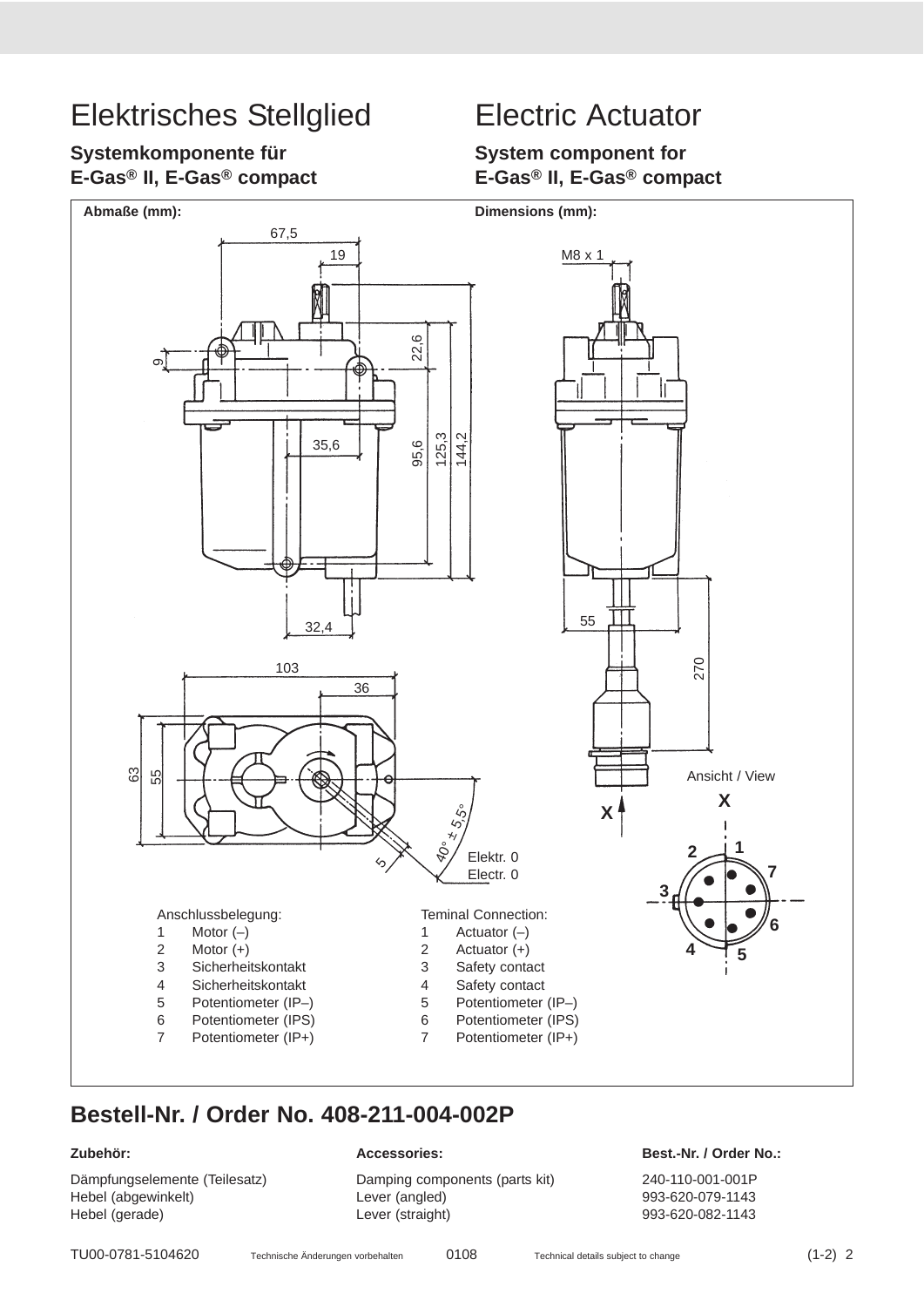### **Systemkomponente für E-Gas® II, E-Gas® compact**

## **System component for E-Gas® II, E-Gas® compact**



## **Bestell-Nr. / Order No. 408-211-004-002P**

Dämpfungselemente (Teilesatz) Damping components (parts kit) 240-110-001-001P Hebel (abgewinkelt)  $Lever$  (angled) 993-620-079-1143 Hebel (gerade) Lever (straight) 993-620-082-1143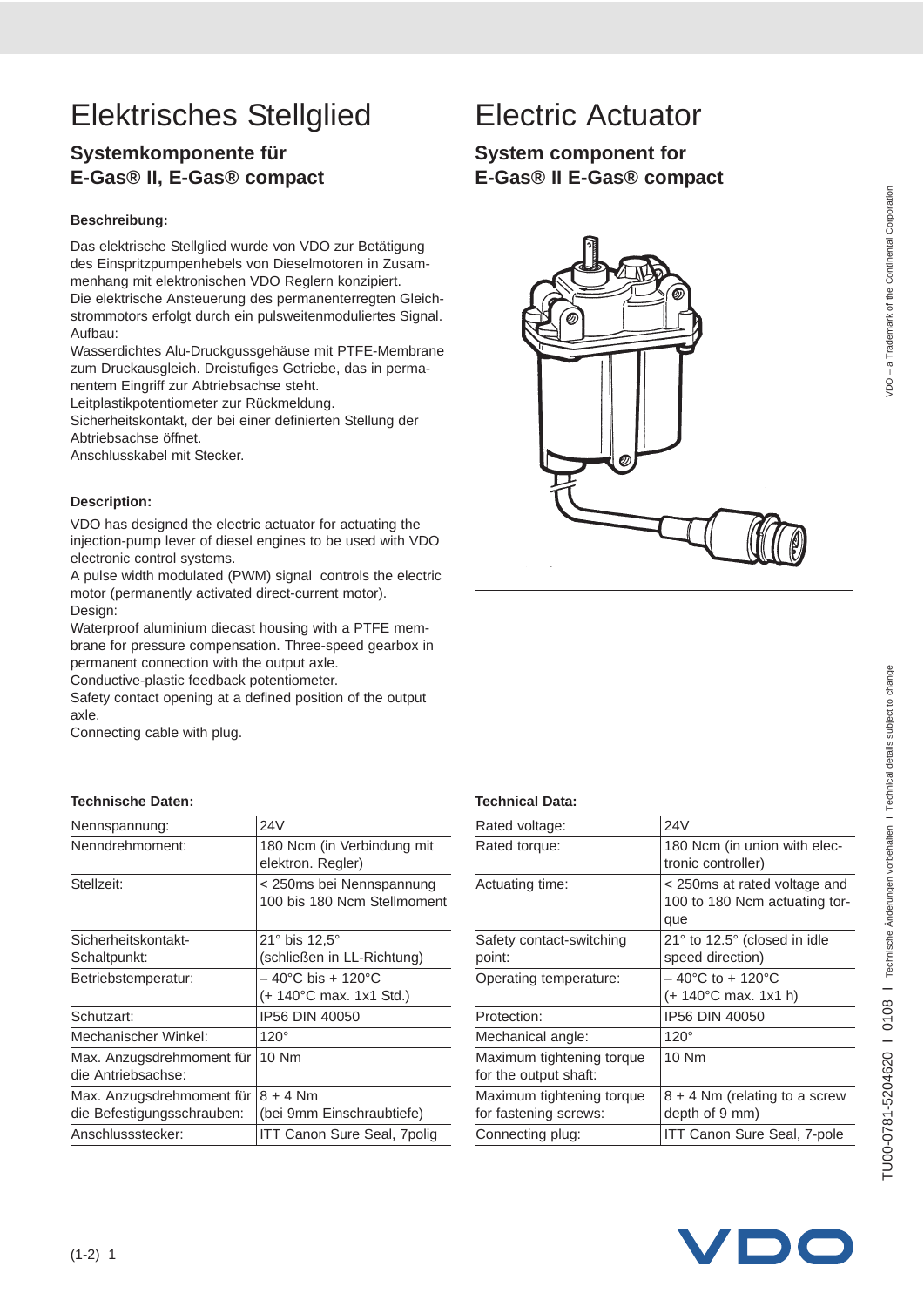## **Systemkomponente für E-Gas® II, E-Gas® compact**

#### **Beschreibung:**

Das elektrische Stellglied wurde von VDO zur Betätigung des Einspritzpumpenhebels von Dieselmotoren in Zusammenhang mit elektronischen VDO Reglern konzipiert. Die elektrische Ansteuerung des permanenterregten Gleichstrommotors erfolgt durch ein pulsweitenmoduliertes Signal. Aufbau:

Wasserdichtes Alu-Druckgussgehäuse mit PTFE-Membrane zum Druckausgleich. Dreistufiges Getriebe, das in permanentem Eingriff zur Abtriebsachse steht.

Leitplastikpotentiometer zur Rückmeldung.

Sicherheitskontakt, der bei einer definierten Stellung der Abtriebsachse öffnet.

Anschlusskabel mit Stecker.

#### **Description:**

VDO has designed the electric actuator for actuating the injection-pump lever of diesel engines to be used with VDO electronic control systems.

A pulse width modulated (PWM) signal controls the electric motor (permanently activated direct-current motor). Design:

Waterproof aluminium diecast housing with a PTFE membrane for pressure compensation. Three-speed gearbox in permanent connection with the output axle.

Conductive-plastic feedback potentiometer.

Safety contact opening at a defined position of the output axle.

Connecting cable with plug.

#### **Technische Daten: Technical Data:**

| Nennspannung:              | 24V                                |
|----------------------------|------------------------------------|
| Nenndrehmoment:            | 180 Ncm (in Verbindung mit         |
|                            | elektron. Regler)                  |
| Stellzeit:                 | < 250ms bei Nennspannung           |
|                            | 100 bis 180 Ncm Stellmoment        |
|                            |                                    |
| Sicherheitskontakt-        | $21^\circ$ bis 12,5 $^\circ$       |
| Schaltpunkt:               | (schließen in LL-Richtung)         |
| Betriebstemperatur:        | – 40°C bis + 120°C                 |
|                            | (+ 140°C max. 1x1 Std.)            |
| Schutzart:                 | IP56 DIN 40050                     |
| Mechanischer Winkel:       | $120^\circ$                        |
| Max. Anzugsdrehmoment für  | 10 Nm                              |
| die Antriebsachse:         |                                    |
| Max. Anzugsdrehmoment für  | $8 + 4$ Nm                         |
| die Befestigungsschrauben: | (bei 9mm Einschraubtiefe)          |
| Anschlussstecker:          | <b>ITT Canon Sure Seal, 7polig</b> |

## **System component for E-Gas® II E-Gas® compact**



| Rated voltage:            | 24V                            |
|---------------------------|--------------------------------|
| Rated torque:             | 180 Ncm (in union with elec-   |
|                           | tronic controller)             |
| Actuating time:           | < 250ms at rated voltage and   |
|                           | 100 to 180 Ncm actuating tor-  |
|                           | que                            |
| Safety contact-switching  | 21° to 12.5° (closed in idle   |
| point:                    | speed direction)               |
| Operating temperature:    | $-$ 40°C to + 120°C            |
|                           | $(+ 140^{\circ}$ C max. 1x1 h) |
| Protection:               | IP56 DIN 40050                 |
| Mechanical angle:         | $120^\circ$                    |
| Maximum tightening torque | 10 Nm                          |
| for the output shaft:     |                                |
| Maximum tightening torque | 8 + 4 Nm (relating to a screw  |
| for fastening screws:     | depth of 9 mm)                 |
| Connecting plug:          | ITT Canon Sure Seal, 7-pole    |
|                           |                                |

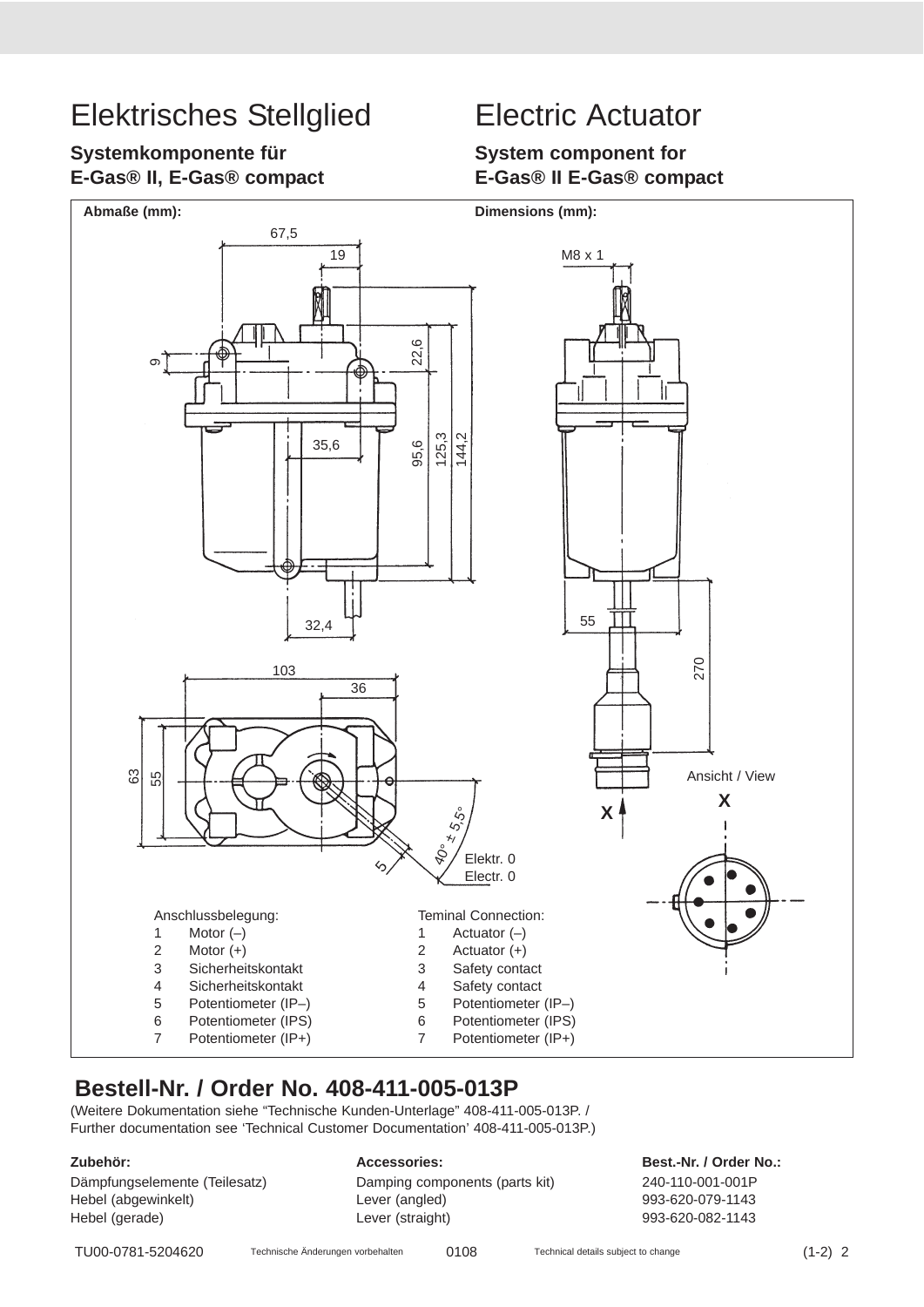## **Systemkomponente für E-Gas® II, E-Gas® compact**

## **System component for E-Gas® II E-Gas® compact**



## **Bestell-Nr. / Order No. 408-411-005-013P**

(Weitere Dokumentation siehe "Technische Kunden-Unterlage" 408-411-005-013P. / Further documentation see 'Technical Customer Documentation' 408-411-005-013P.)

Hebel (abgewinkelt) Lever (angled) 993-620-079-1143 Hebel (gerade) Lever (straight) 993-620-082-1143

Dämpfungselemente (Teilesatz) Damping components (parts kit) 240-110-001-001P

**Zubehör: Accessories: Best.-Nr. / Order No.:**

TU00-0781-5204620 Technische Änderungen vorbehalten 0108 Technical details subject to change (1-2) 2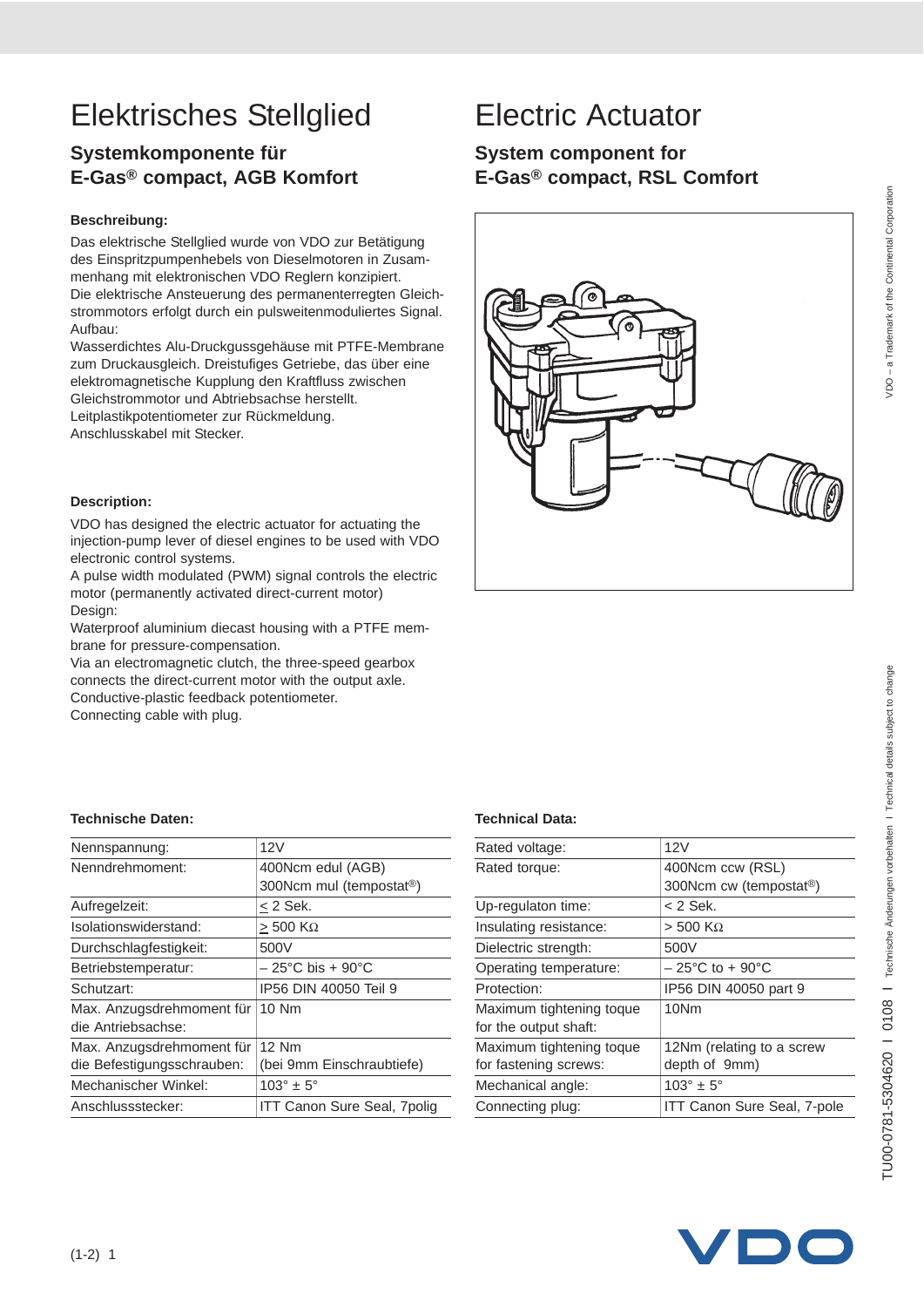# TU00-0781-5304620 I 0108 I Technische Änderungen vorbehalten I Technical details subject to change TU00-0781-5304620 I 0108 I Technische Änderungen vorbehalten I Technical details subject to change

# Elektrisches Stellglied Electric Actuator

## **Systemkomponente für E-Gas® compact, AGB Komfort**

#### **Beschreibung:**

Das elektrische Stellglied wurde von VDO zur Betätigung des Einspritzpumpenhebels von Dieselmotoren in Zusammenhang mit elektronischen VDO Reglern konzipiert. Die elektrische Ansteuerung des permanenterregten Gleichstrommotors erfolgt durch ein pulsweitenmoduliertes Signal. Aufbau:

Wasserdichtes Alu-Druckgussgehäuse mit PTFE-Membrane zum Druckausgleich. Dreistufiges Getriebe, das über eine elektromagnetische Kupplung den Kraftfluss zwischen Gleichstrommotor und Abtriebsachse herstellt. Leitplastikpotentiometer zur Rückmeldung.

Anschlusskabel mit Stecker.

#### **Description:**

VDO has designed the electric actuator for actuating the injection-pump lever of diesel engines to be used with VDO electronic control systems.

A pulse width modulated (PWM) signal controls the electric motor (permanently activated direct-current motor) Design:

Waterproof aluminium diecast housing with a PTFE membrane for pressure-compensation.

Via an electromagnetic clutch, the three-speed gearbox connects the direct-current motor with the output axle. Conductive-plastic feedback potentiometer.

Connecting cable with plug.

#### **Technische Daten: Technical Data:**

| Nennspannung:              | 12V                                   |
|----------------------------|---------------------------------------|
| Nenndrehmoment:            | 400Ncm edul (AGB)                     |
|                            | 300Ncm mul (tempostat <sup>®</sup> )  |
| Aufregelzeit:              | $<$ 2 Sek.                            |
| Isolationswiderstand:      | $>$ 500 K $\Omega$                    |
| Durchschlagfestigkeit:     | 500V                                  |
| Betriebstemperatur:        | $-25^{\circ}$ C bis + 90 $^{\circ}$ C |
| Schutzart:                 | IP56 DIN 40050 Teil 9                 |
| Max. Anzugsdrehmoment für  | 10 Nm                                 |
| die Antriebsachse:         |                                       |
| Max. Anzugsdrehmoment für  | 12 Nm                                 |
| die Befestigungsschrauben: | (bei 9mm Einschraubtiefe)             |
| Mechanischer Winkel:       | $103^\circ \pm 5^\circ$               |
| Anschlussstecker:          | <b>ITT Canon Sure Seal, 7polig</b>    |

## **System component for E-Gas® compact, RSL Comfort**



| Rated voltage:           | 12V                                  |
|--------------------------|--------------------------------------|
| Rated torque:            | 400Ncm ccw (RSL)                     |
|                          | 300Ncm cw (tempostat <sup>®</sup> )  |
| Up-regulaton time:       | < 2 Sek.                             |
| Insulating resistance:   | $> 500$ KΩ                           |
| Dielectric strength:     | 500V                                 |
| Operating temperature:   | $-25^{\circ}$ C to + 90 $^{\circ}$ C |
| Protection:              | IP56 DIN 40050 part 9                |
| Maximum tightening toque | 10Nm                                 |
| for the output shaft:    |                                      |
| Maximum tightening toque | 12Nm (relating to a screw            |
| for fastening screws:    | depth of 9mm)                        |
| Mechanical angle:        | $103^\circ \pm 5^\circ$              |
| Connecting plug:         | <b>ITT Canon Sure Seal, 7-pole</b>   |

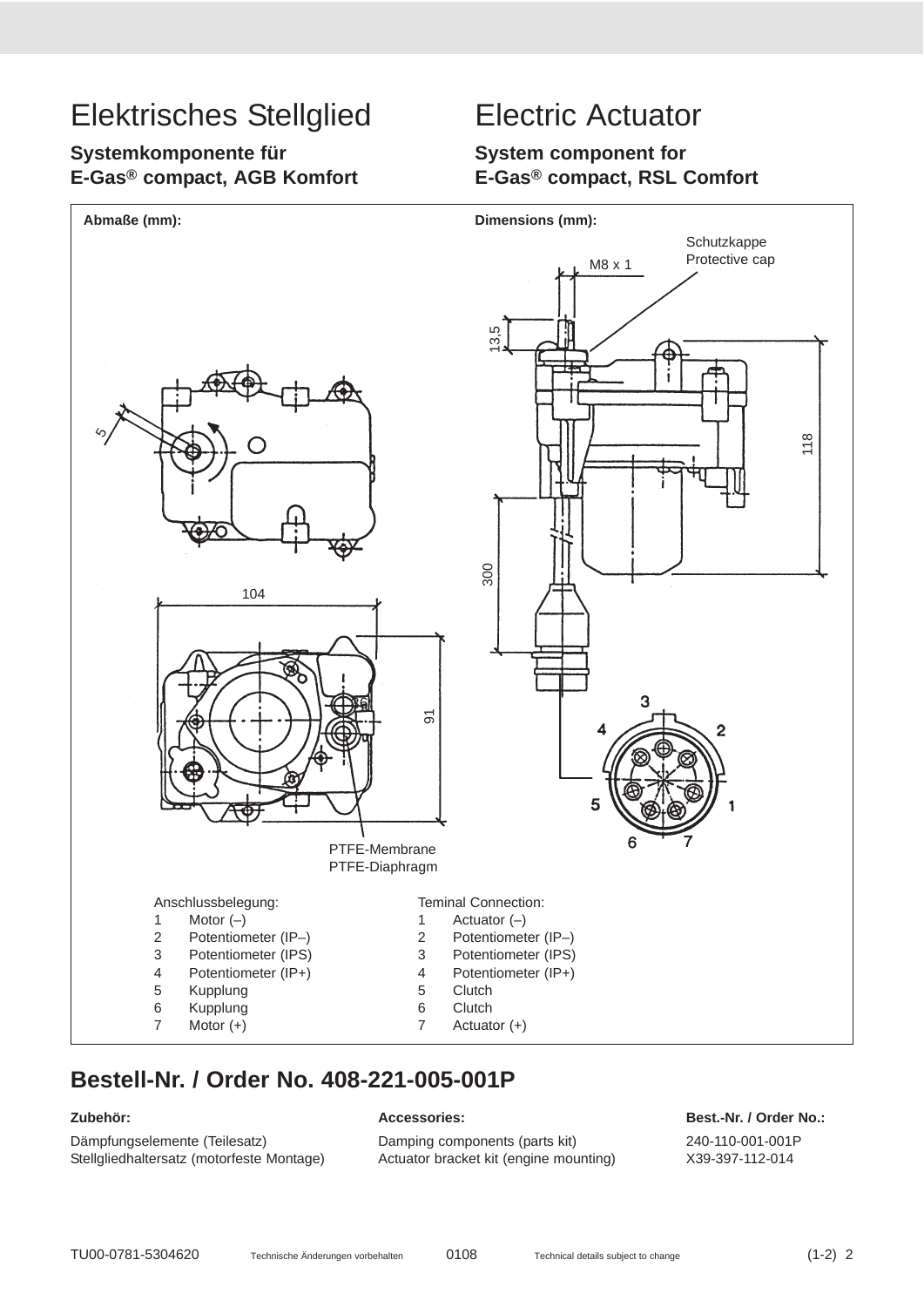## **Systemkomponente für E-Gas® compact, AGB Komfort**

## **System component for E-Gas® compact, RSL Comfort**



## **Bestell-Nr. / Order No. 408-221-005-001P**

Dämpfungselemente (Teilesatz) Damping components (parts kit) 240-110-001-001P Stellgliedhaltersatz (motorfeste Montage) Actuator bracket kit (engine mounting) X39-397-112-014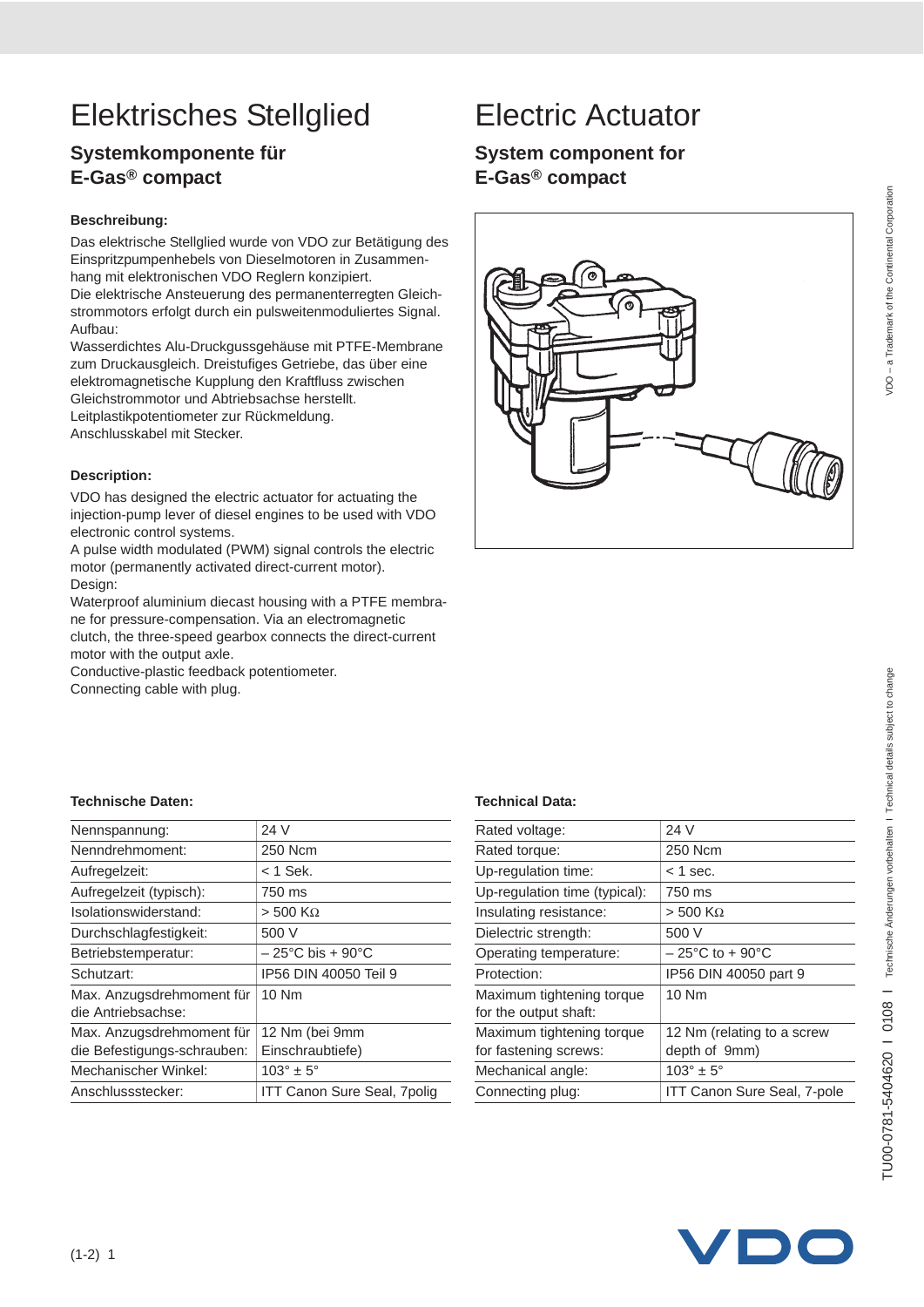## **Systemkomponente für E-Gas® compact**

#### **Beschreibung:**

Das elektrische Stellglied wurde von VDO zur Betätigung des Einspritzpumpenhebels von Dieselmotoren in Zusammenhang mit elektronischen VDO Reglern konzipiert. Die elektrische Ansteuerung des permanenterregten Gleichstrommotors erfolgt durch ein pulsweitenmoduliertes Signal. Aufbau:

Wasserdichtes Alu-Druckgussgehäuse mit PTFE-Membrane zum Druckausgleich. Dreistufiges Getriebe, das über eine elektromagnetische Kupplung den Kraftfluss zwischen Gleichstrommotor und Abtriebsachse herstellt. Leitplastikpotentiometer zur Rückmeldung.

Anschlusskabel mit Stecker.

#### **Description:**

VDO has designed the electric actuator for actuating the injection-pump lever of diesel engines to be used with VDO electronic control systems.

A pulse width modulated (PWM) signal controls the electric motor (permanently activated direct-current motor). Design:

Waterproof aluminium diecast housing with a PTFE membrane for pressure-compensation. Via an electromagnetic

clutch, the three-speed gearbox connects the direct-current motor with the output axle.

Conductive-plastic feedback potentiometer.

Connecting cable with plug.

## **System component for E-Gas® compact**



| Nennspannung:                                   | 24 V                                  |
|-------------------------------------------------|---------------------------------------|
| Nenndrehmoment:                                 | 250 Ncm                               |
| Aufregelzeit:                                   | $<$ 1 Sek.                            |
| Aufregelzeit (typisch):                         | 750 ms                                |
| Isolationswiderstand:                           | $>$ 500 K $\Omega$                    |
| Durchschlagfestigkeit:                          | 500 V                                 |
| Betriebstemperatur:                             | $-25^{\circ}$ C bis + 90 $^{\circ}$ C |
| Schutzart:                                      | IP56 DIN 40050 Teil 9                 |
| Max. Anzugsdrehmoment für<br>die Antriebsachse: | $10$ Nm                               |
| Max. Anzugsdrehmoment für                       | 12 Nm (bei 9mm                        |
| die Befestigungs-schrauben:                     | Einschraubtiefe)                      |
| Mechanischer Winkel:                            | $103^\circ \pm 5^\circ$               |
| Anschlussstecker:                               | ITT Canon Sure Seal, 7polig           |

| 24 V                                        |
|---------------------------------------------|
| 250 Ncm                                     |
| $<$ 1 sec.                                  |
| 750 ms                                      |
| $> 500$ K $\Omega$                          |
| 500 V                                       |
| $-25^{\circ}$ C to + 90 $^{\circ}$ C        |
| IP56 DIN 40050 part 9                       |
| 10 Nm                                       |
| 12 Nm (relating to a screw<br>depth of 9mm) |
| $103^\circ \pm 5^\circ$                     |
| ITT Canon Sure Seal, 7-pole                 |
|                                             |

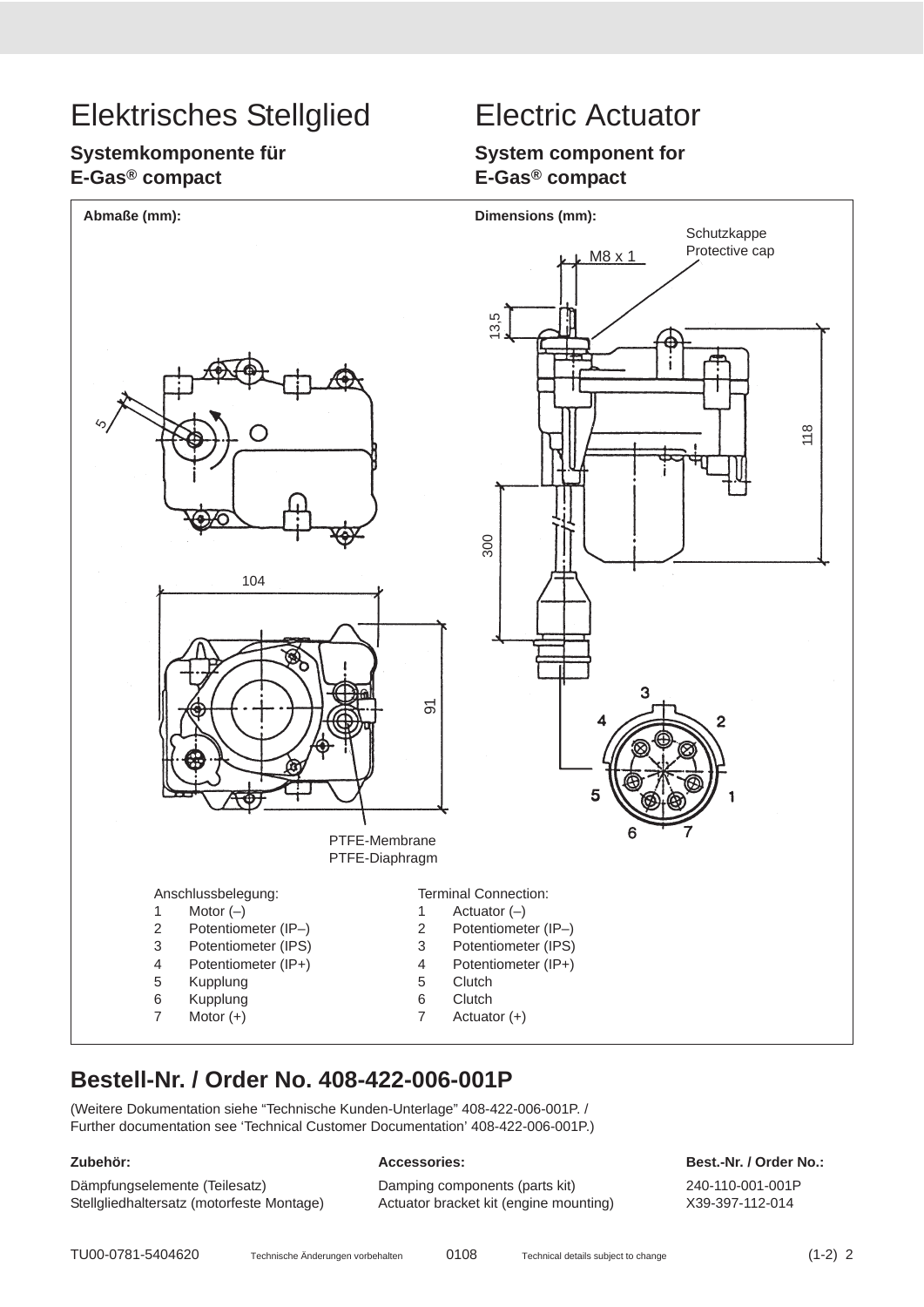## **Systemkomponente für E-Gas® compact**

### **System component for E-Gas® compact**



## **Bestell-Nr. / Order No. 408-422-006-001P**

(Weitere Dokumentation siehe "Technische Kunden-Unterlage" 408-422-006-001P. / Further documentation see 'Technical Customer Documentation' 408-422-006-001P.)

Stellgliedhaltersatz (motorfeste Montage) Actuator bracket kit (engine mounting) X39-397-112-014

Dämpfungselemente (Teilesatz) Damping components (parts kit) 240-110-001-001P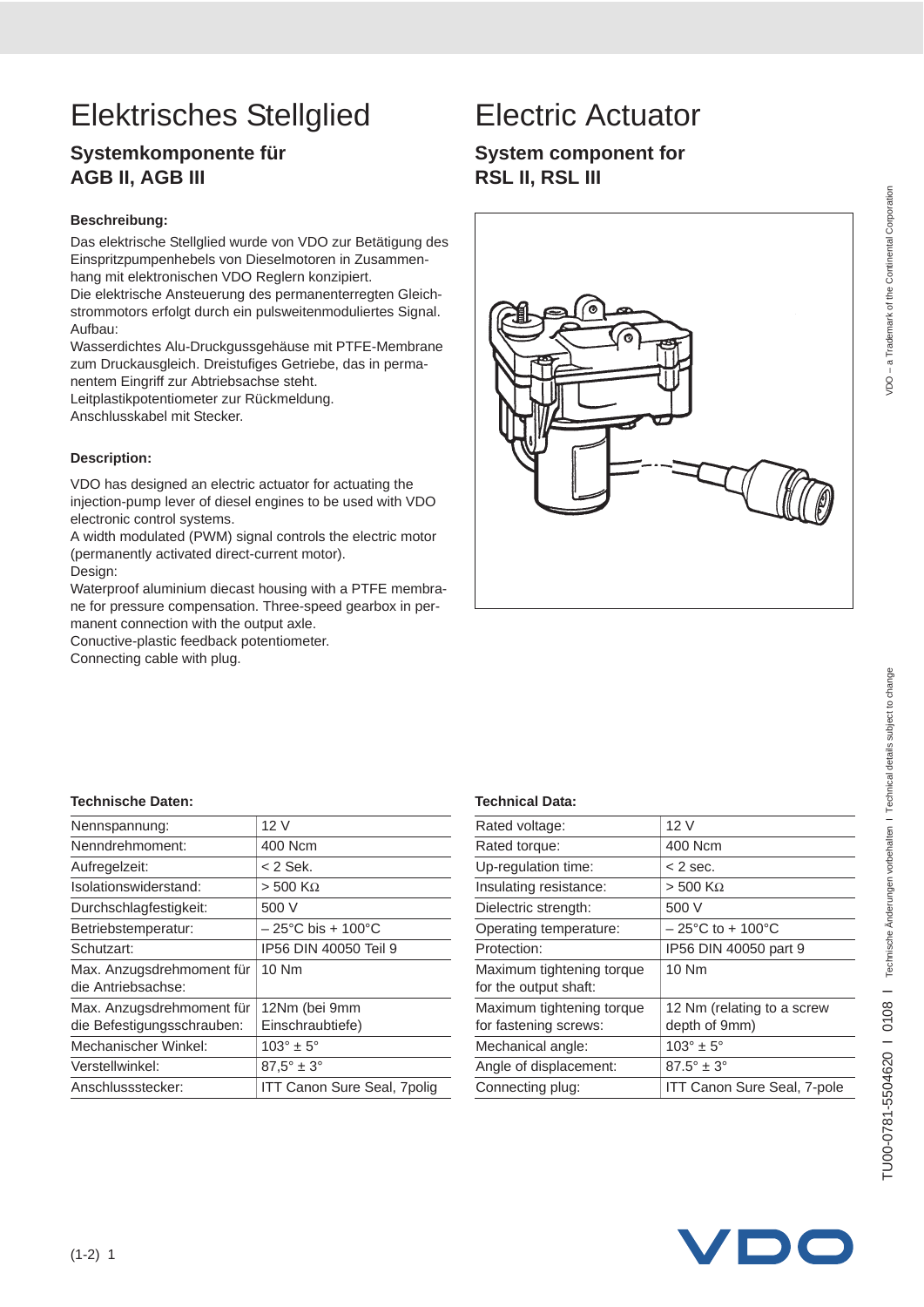# TU00-0781-5504620 I 0108 I Technische Änderungen vorbehalten I Technical details subject to change TU00-0781-5504620 I 0108 I Technische Änderungen vorbehalten I Technical details subject to change

# Elektrisches Stellglied Electric Actuator

## **Systemkomponente für AGB II, AGB III**

#### **Beschreibung:**

Das elektrische Stellglied wurde von VDO zur Betätigung des Einspritzpumpenhebels von Dieselmotoren in Zusammenhang mit elektronischen VDO Reglern konzipiert.

Die elektrische Ansteuerung des permanenterregten Gleichstrommotors erfolgt durch ein pulsweitenmoduliertes Signal. Aufbau:

Wasserdichtes Alu-Druckgussgehäuse mit PTFE-Membrane zum Druckausgleich. Dreistufiges Getriebe, das in permanentem Eingriff zur Abtriebsachse steht.

Leitplastikpotentiometer zur Rückmeldung. Anschlusskabel mit Stecker.

#### **Description:**

VDO has designed an electric actuator for actuating the injection-pump lever of diesel engines to be used with VDO electronic control systems.

A width modulated (PWM) signal controls the electric motor (permanently activated direct-current motor).

Design:

Waterproof aluminium diecast housing with a PTFE membrane for pressure compensation. Three-speed gearbox in permanent connection with the output axle.

Conuctive-plastic feedback potentiometer.

Connecting cable with plug.

## **System component for RSL II, RSL III**



| Nennspannung:                                   | 12 V                                   |
|-------------------------------------------------|----------------------------------------|
| Nenndrehmoment:                                 | 400 Ncm                                |
| Aufregelzeit:                                   | < 2 Sek.                               |
| Isolationswiderstand:                           | $> 500$ K $\Omega$                     |
| Durchschlagfestigkeit:                          | 500 V                                  |
| Betriebstemperatur:                             | $-25^{\circ}$ C bis + 100 $^{\circ}$ C |
| Schutzart:                                      | IP56 DIN 40050 Teil 9                  |
| Max. Anzugsdrehmoment für<br>die Antriebsachse: | $10$ Nm                                |
| Max. Anzugsdrehmoment für                       | 12Nm (bei 9mm                          |
| die Befestigungsschrauben:                      | Einschraubtiefe)                       |
| Mechanischer Winkel:                            | $103^\circ \pm 5^\circ$                |
| Verstellwinkel:                                 | $87.5^\circ \pm 3^\circ$               |
| Anschlussstecker:                               | <b>ITT Canon Sure Seal, 7polig</b>     |

| Rated voltage:                                     | 12 V                                  |
|----------------------------------------------------|---------------------------------------|
| Rated torque:                                      | 400 Ncm                               |
| Up-regulation time:                                | $<$ 2 sec.                            |
| Insulating resistance:                             | $>$ 500 K $\Omega$                    |
| Dielectric strength:                               | 500 V                                 |
| Operating temperature:                             | $-25^{\circ}$ C to + 100 $^{\circ}$ C |
| Protection:                                        | IP56 DIN 40050 part 9                 |
| Maximum tightening torque<br>for the output shaft: | 10 Nm                                 |
| Maximum tightening torque                          | 12 Nm (relating to a screw            |
| for fastening screws:                              | depth of 9mm)                         |
| Mechanical angle:                                  | $103^\circ \pm 5^\circ$               |
| Angle of displacement:                             | $87.5^\circ \pm 3^\circ$              |
| Connecting plug:                                   | ITT Canon Sure Seal, 7-pole           |
|                                                    |                                       |

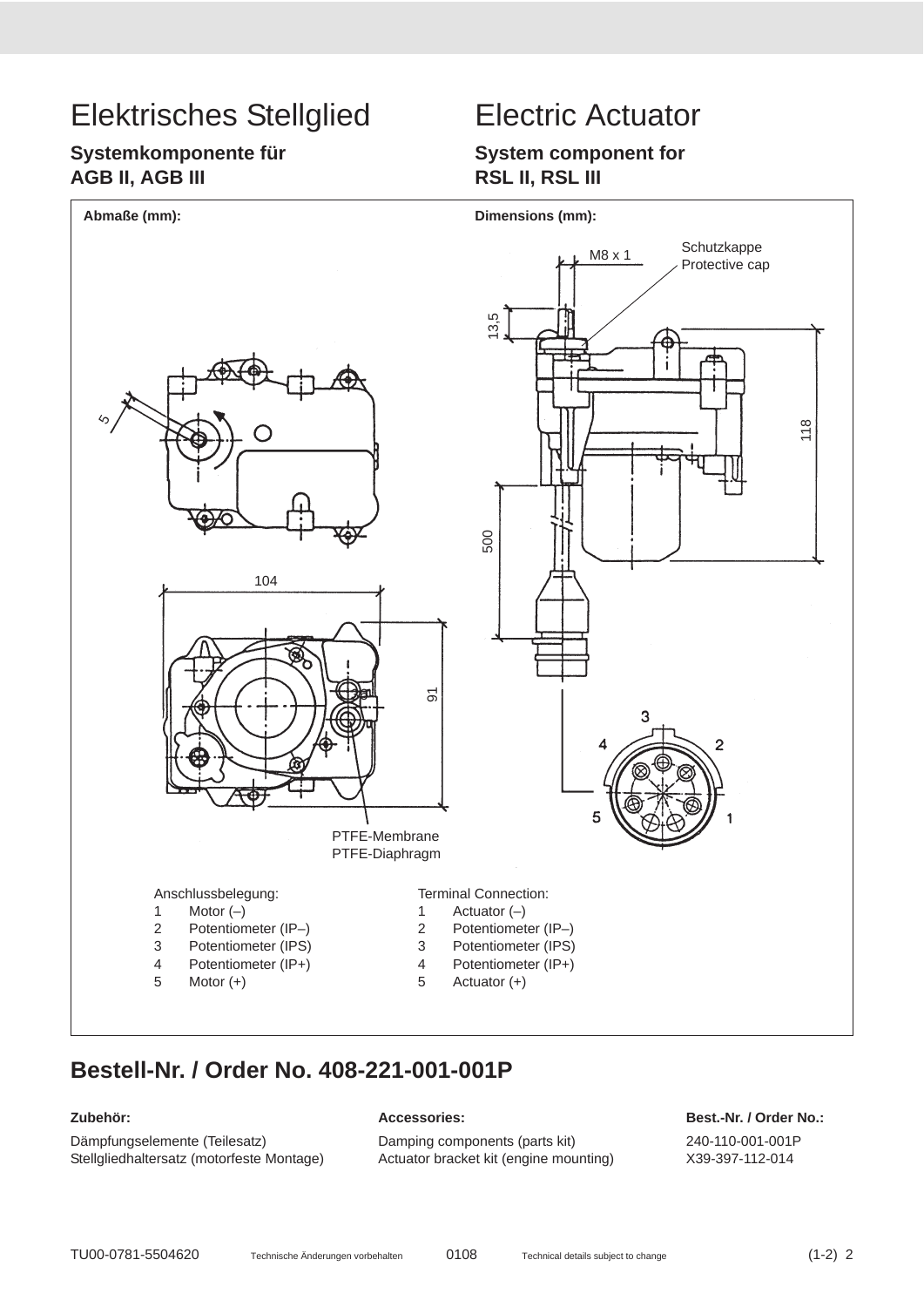## **Systemkomponente für AGB II, AGB III**

## **System component for RSL II, RSL III**



## **Bestell-Nr. / Order No. 408-221-001-001P**

Dämpfungselemente (Teilesatz) Damping components (parts kit) 240-110-001-001P Stellgliedhaltersatz (motorfeste Montage) Actuator bracket kit (engine mounting) X39-397-112-014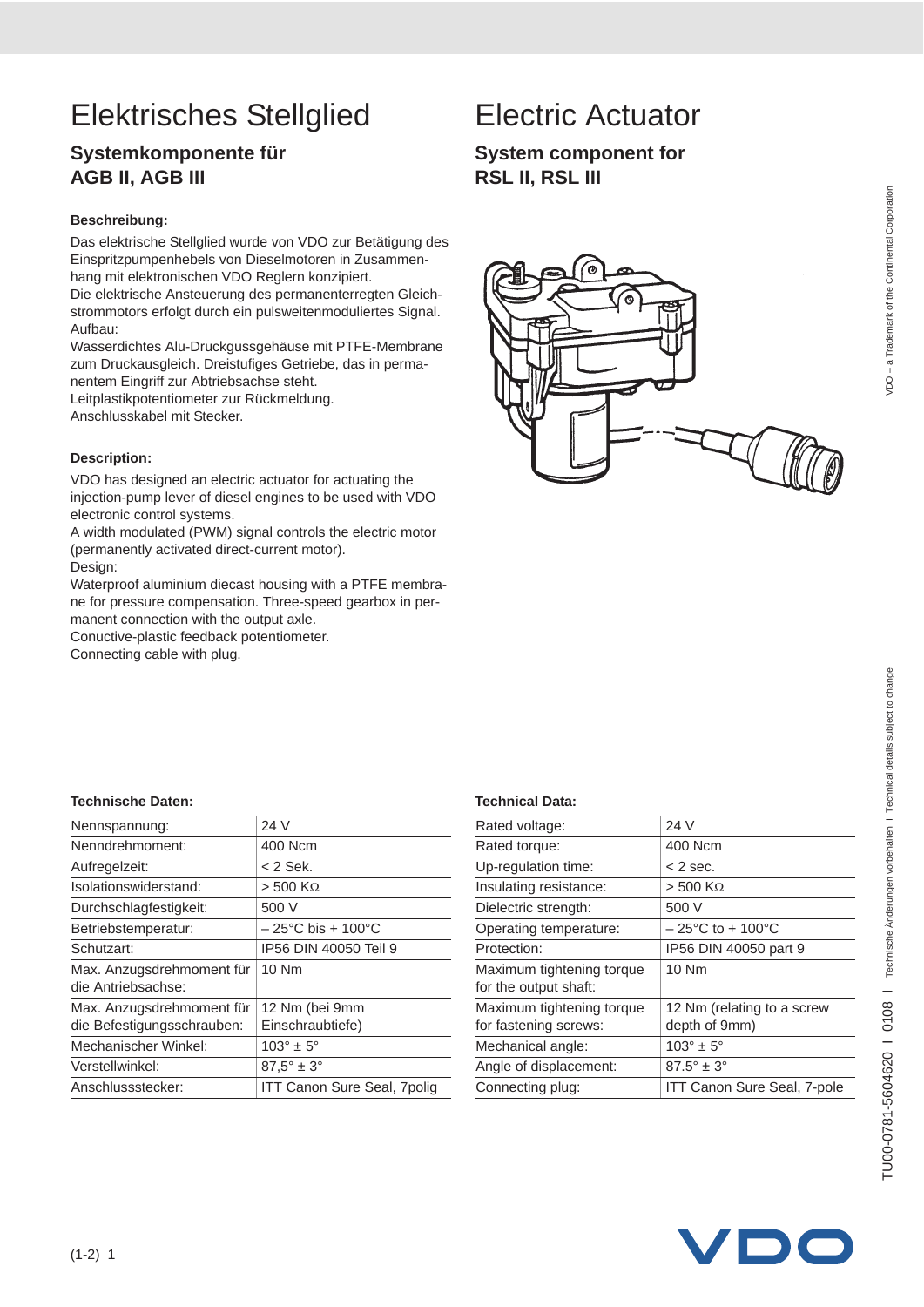## **Systemkomponente für AGB II, AGB III**

#### **Beschreibung:**

Das elektrische Stellglied wurde von VDO zur Betätigung des Einspritzpumpenhebels von Dieselmotoren in Zusammenhang mit elektronischen VDO Reglern konzipiert.

Die elektrische Ansteuerung des permanenterregten Gleichstrommotors erfolgt durch ein pulsweitenmoduliertes Signal. Aufbau:

Wasserdichtes Alu-Druckgussgehäuse mit PTFE-Membrane zum Druckausgleich. Dreistufiges Getriebe, das in permanentem Eingriff zur Abtriebsachse steht.

Leitplastikpotentiometer zur Rückmeldung.

Anschlusskabel mit Stecker.

#### **Description:**

VDO has designed an electric actuator for actuating the injection-pump lever of diesel engines to be used with VDO electronic control systems.

A width modulated (PWM) signal controls the electric motor (permanently activated direct-current motor). Design:

Waterproof aluminium diecast housing with a PTFE membrane for pressure compensation. Three-speed gearbox in permanent connection with the output axle.

Conuctive-plastic feedback potentiometer.

Connecting cable with plug.

## **System component for RSL II, RSL III**



| Nennspannung:              | 24 V                                   |
|----------------------------|----------------------------------------|
| Nenndrehmoment:            | 400 Ncm                                |
| Aufregelzeit:              | $<$ 2 Sek.                             |
| Isolationswiderstand:      | $>$ 500 K $\Omega$                     |
| Durchschlagfestigkeit:     | 500 V                                  |
| Betriebstemperatur:        | $-25^{\circ}$ C bis + 100 $^{\circ}$ C |
| Schutzart:                 | IP56 DIN 40050 Teil 9                  |
| Max. Anzugsdrehmoment für  | 10 Nm                                  |
| die Antriebsachse:         |                                        |
| Max. Anzugsdrehmoment für  | 12 Nm (bei 9mm                         |
| die Befestigungsschrauben: | Einschraubtiefe)                       |
| Mechanischer Winkel:       | $103^\circ \pm 5^\circ$                |
| Verstellwinkel:            | $87.5^\circ \pm 3^\circ$               |
| Anschlussstecker:          | ITT Canon Sure Seal, 7polig            |

| Rated voltage:            | 24 V                                  |
|---------------------------|---------------------------------------|
| Rated torque:             | 400 Ncm                               |
| Up-regulation time:       | $<$ 2 sec.                            |
| Insulating resistance:    | $> 500$ K $\Omega$                    |
| Dielectric strength:      | 500 V                                 |
| Operating temperature:    | $-25^{\circ}$ C to + 100 $^{\circ}$ C |
| Protection:               | IP56 DIN 40050 part 9                 |
| Maximum tightening torque | 10 Nm                                 |
| for the output shaft:     |                                       |
| Maximum tightening torque | 12 Nm (relating to a screw            |
| for fastening screws:     | depth of 9mm)                         |
| Mechanical angle:         | $103^\circ \pm 5^\circ$               |
| Angle of displacement:    | $87.5^\circ \pm 3^\circ$              |
| Connecting plug:          | ITT Canon Sure Seal, 7-pole           |
|                           |                                       |

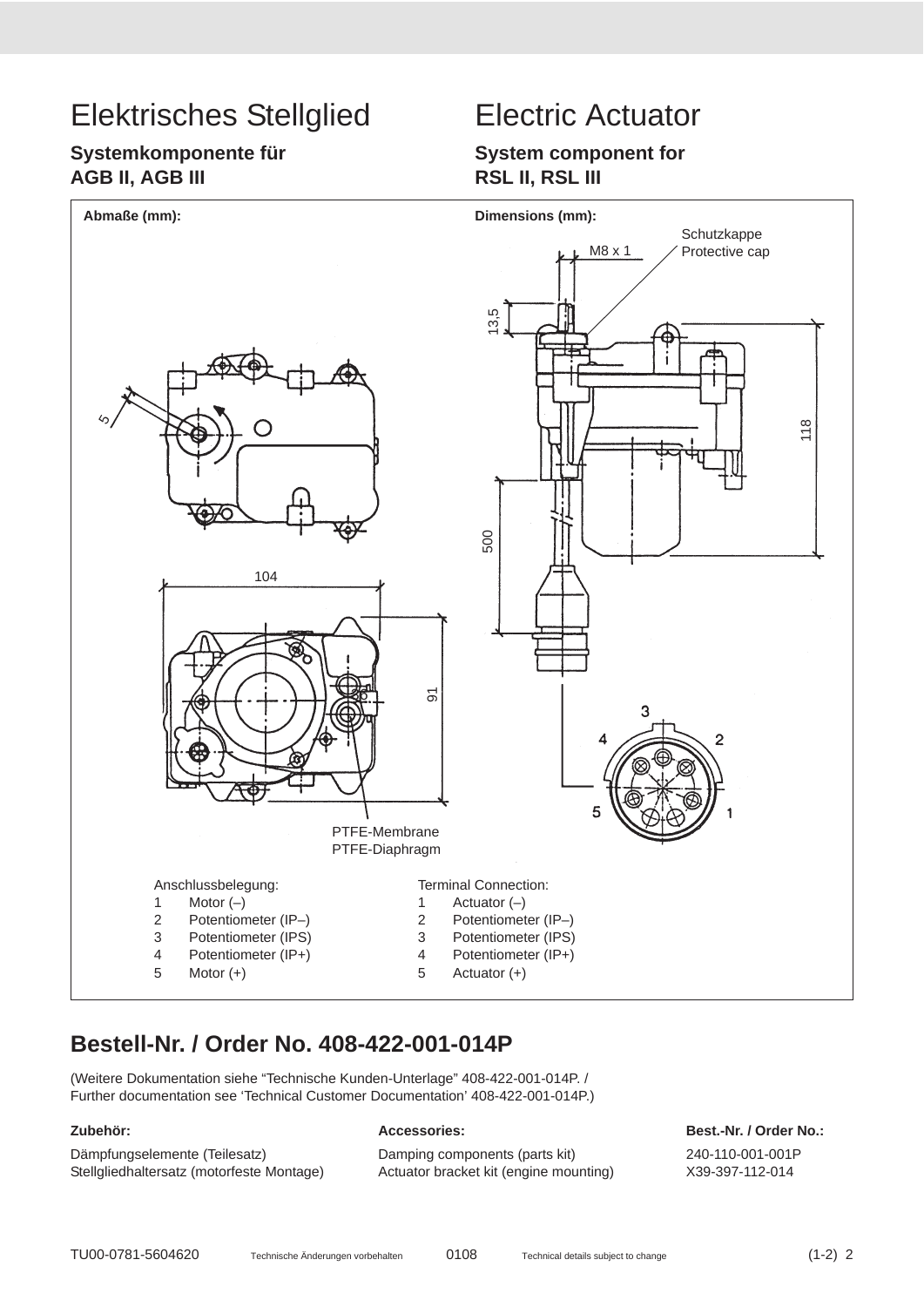## **Systemkomponente für AGB II, AGB III**

### **System component for RSL II, RSL III**



## **Bestell-Nr. / Order No. 408-422-001-014P**

(Weitere Dokumentation siehe "Technische Kunden-Unterlage" 408-422-001-014P. / Further documentation see 'Technical Customer Documentation' 408-422-001-014P.)

Dämpfungselemente (Teilesatz) Damping components (parts kit) 240-110-001-001P

Stellgliedhaltersatz (motorfeste Montage) Actuator bracket kit (engine mounting) X39-397-112-014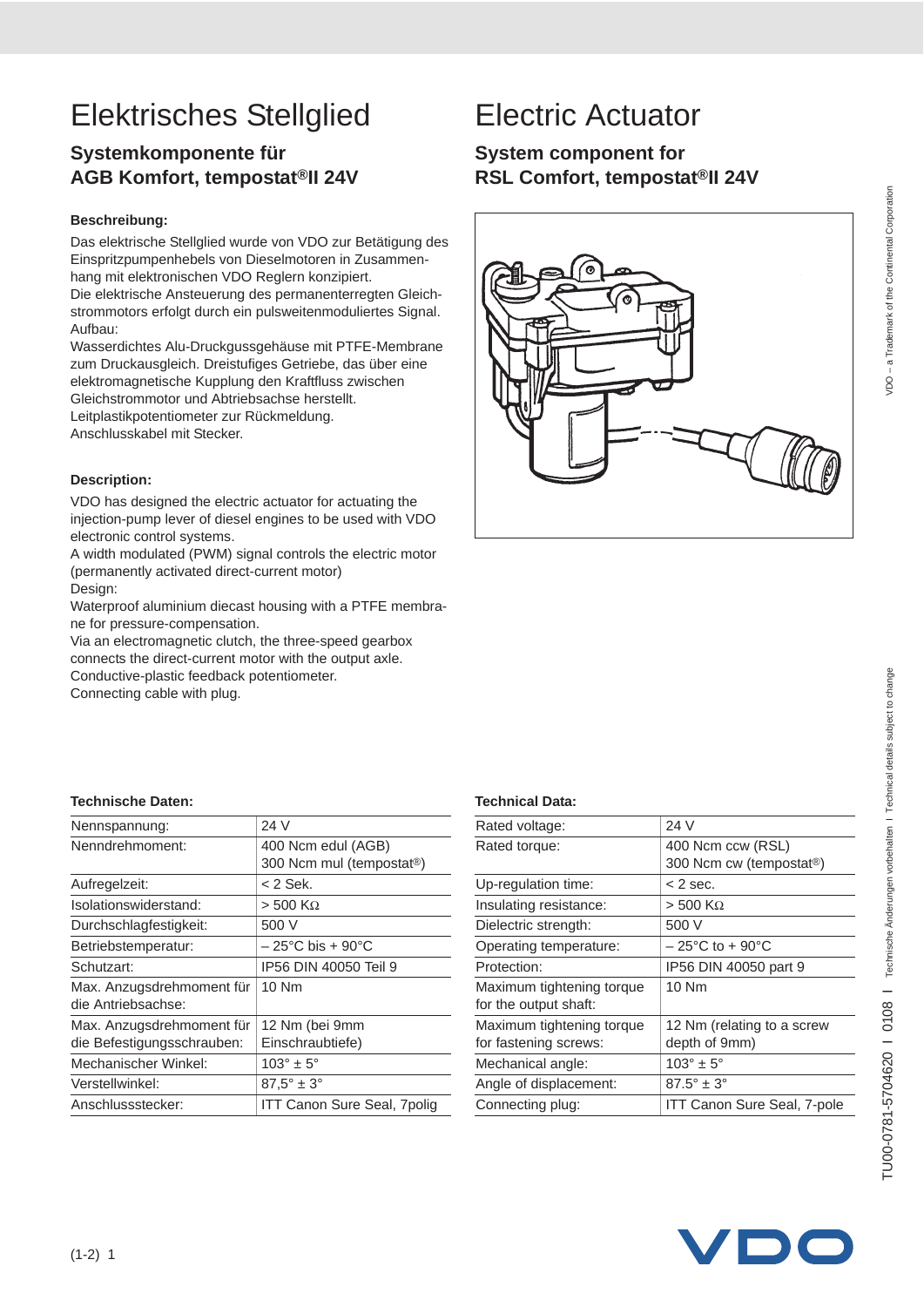# TU00-0781-5704620 I 0108 I Technische Änderungen vorbehalten I Technical details subject to change TU00-0781-5704620 I 0108 I Technische Änderungen vorbehalten I Technical details subject to change

# Elektrisches Stellglied Electric Actuator

## **Systemkomponente für AGB Komfort, tempostat®II 24V**

#### **Beschreibung:**

Das elektrische Stellglied wurde von VDO zur Betätigung des Einspritzpumpenhebels von Dieselmotoren in Zusammenhang mit elektronischen VDO Reglern konzipiert. Die elektrische Ansteuerung des permanenterregten Gleichstrommotors erfolgt durch ein pulsweitenmoduliertes Signal. Aufbau:

Wasserdichtes Alu-Druckgussgehäuse mit PTFE-Membrane zum Druckausgleich. Dreistufiges Getriebe, das über eine elektromagnetische Kupplung den Kraftfluss zwischen Gleichstrommotor und Abtriebsachse herstellt. Leitplastikpotentiometer zur Rückmeldung.

Anschlusskabel mit Stecker.

#### **Description:**

VDO has designed the electric actuator for actuating the injection-pump lever of diesel engines to be used with VDO electronic control systems.

A width modulated (PWM) signal controls the electric motor (permanently activated direct-current motor) Design:

Waterproof aluminium diecast housing with a PTFE membrane for pressure-compensation.

Via an electromagnetic clutch, the three-speed gearbox connects the direct-current motor with the output axle. Conductive-plastic feedback potentiometer.

Connecting cable with plug.

## **System component for RSL Comfort, tempostat®II 24V**



| Nennspannung:              | 24 V                                  |
|----------------------------|---------------------------------------|
| Nenndrehmoment:            | 400 Ncm edul (AGB)                    |
|                            | 300 Ncm mul (tempostat®)              |
| Aufregelzeit:              | < 2 Sek.                              |
| Isolationswiderstand:      | $>$ 500 K $\Omega$                    |
| Durchschlagfestigkeit:     | 500 V                                 |
| Betriebstemperatur:        | $-25^{\circ}$ C bis + 90 $^{\circ}$ C |
| Schutzart:                 | IP56 DIN 40050 Teil 9                 |
| Max. Anzugsdrehmoment für  | 10 Nm                                 |
| die Antriebsachse:         |                                       |
| Max. Anzugsdrehmoment für  | 12 Nm (bei 9mm                        |
| die Befestigungsschrauben: | Einschraubtiefe)                      |
| Mechanischer Winkel:       | $103^\circ \pm 5^\circ$               |
| Verstellwinkel:            | $87.5^\circ \pm 3^\circ$              |
| Anschlussstecker:          | <b>ITT Canon Sure Seal, 7polig</b>    |

| Rated voltage:            | 24 V                                 |  |
|---------------------------|--------------------------------------|--|
| Rated torque:             | 400 Ncm ccw (RSL)                    |  |
|                           | 300 Ncm cw (tempostat <sup>®</sup> ) |  |
| Up-regulation time:       | $<$ 2 sec.                           |  |
| Insulating resistance:    | $>$ 500 K $\Omega$                   |  |
| Dielectric strength:      | 500 V                                |  |
| Operating temperature:    | $-25^{\circ}$ C to + 90 $^{\circ}$ C |  |
| Protection:               | IP56 DIN 40050 part 9                |  |
| Maximum tightening torque | 10 Nm                                |  |
| for the output shaft:     |                                      |  |
| Maximum tightening torque | 12 Nm (relating to a screw           |  |
| for fastening screws:     | depth of 9mm)                        |  |
| Mechanical angle:         | $103^\circ \pm 5^\circ$              |  |
| Angle of displacement:    | $87.5^\circ \pm 3^\circ$             |  |
| Connecting plug:          | ITT Canon Sure Seal, 7-pole          |  |

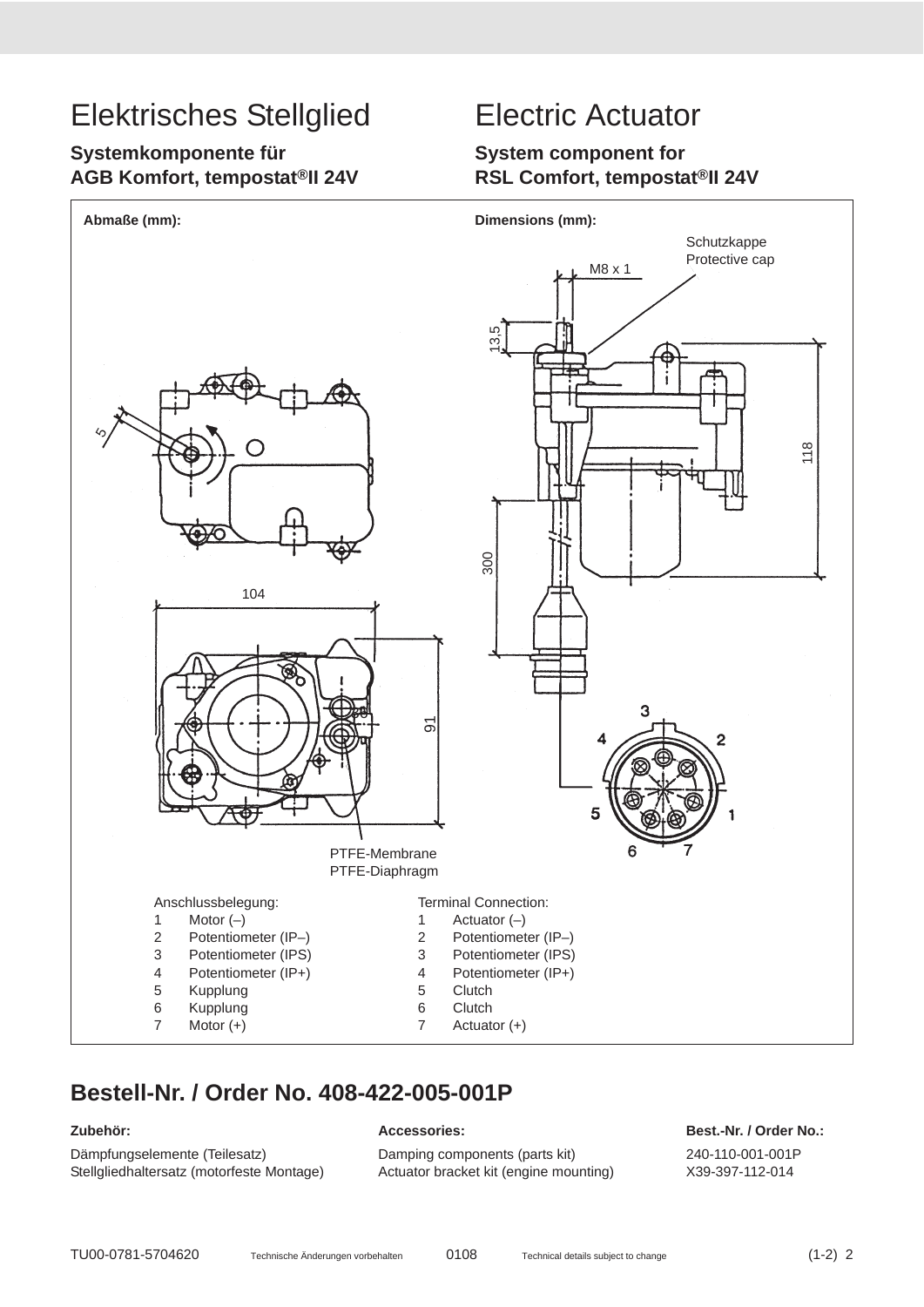## **Systemkomponente für AGB Komfort, tempostat®II 24V**

## **System component for RSL Comfort, tempostat®II 24V**



## **Bestell-Nr. / Order No. 408-422-005-001P**

Dämpfungselemente (Teilesatz) Damping components (parts kit) 240-110-001-001P Stellgliedhaltersatz (motorfeste Montage) Actuator bracket kit (engine mounting) X39-397-112-014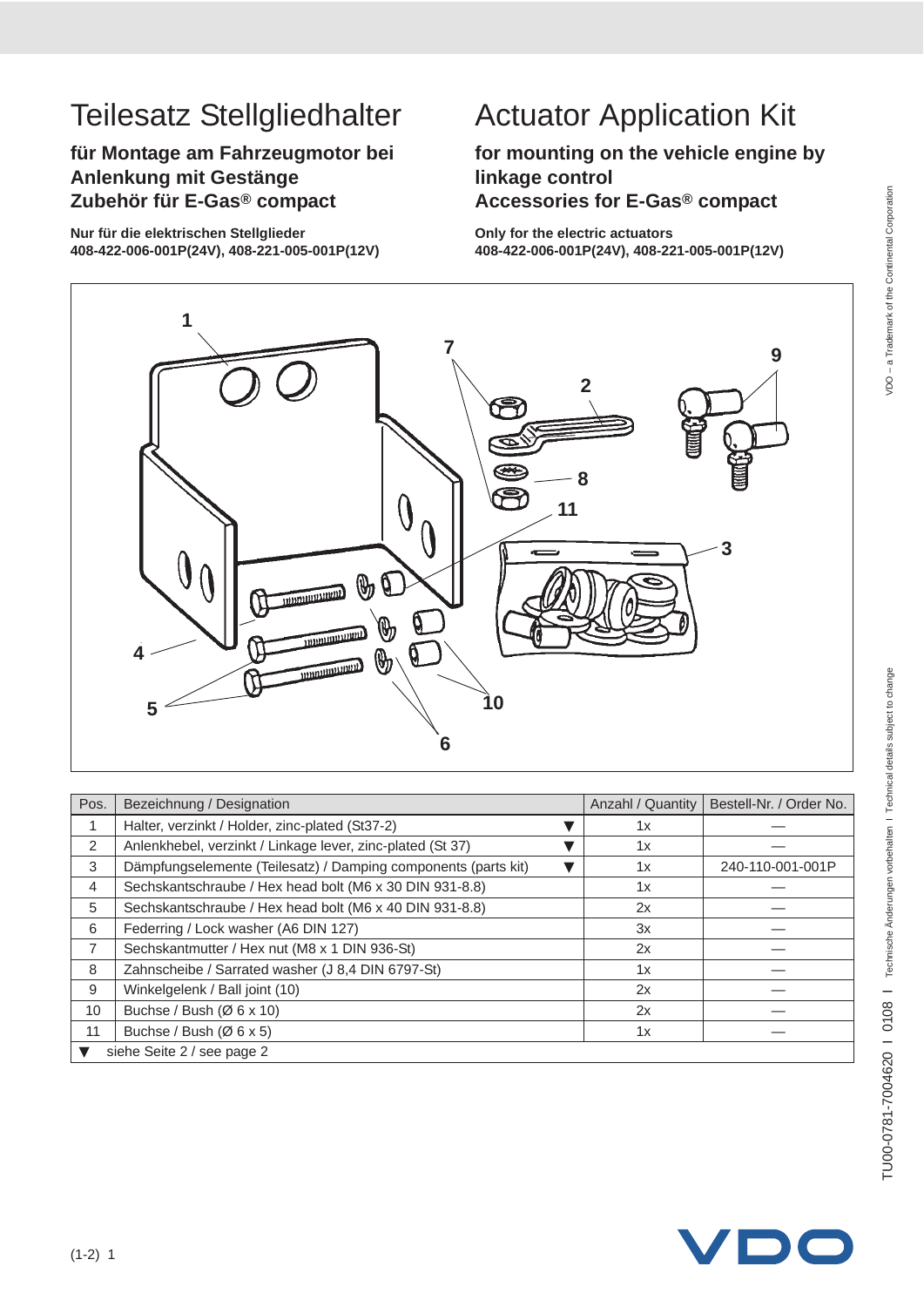# TU00-0781-7004620 | 0108 | Technische Änderungen vorbehalten I Technical details subject to change TU00-0781-7004620 I 0108 I Technische Änderungen vorbehalten I Technical details subject to change

# Teilesatz Stellgliedhalter Actuator Application Kit

**für Montage am Fahrzeugmotor bei Anlenkung mit Gestänge Zubehör für E-Gas® compact**

**Nur für die elektrischen Stellglieder 408-422-006-001P(24V), 408-221-005-001P(12V)**

## **for mounting on the vehicle engine by linkage control Accessories for E-Gas® compact**

**Only for the electric actuators 408-422-006-001P(24V), 408-221-005-001P(12V)**



| Pos.                       | Bezeichnung / Designation                                      | Anzahl / Quantity | Bestell-Nr. / Order No. |  |
|----------------------------|----------------------------------------------------------------|-------------------|-------------------------|--|
|                            | Halter, verzinkt / Holder, zinc-plated (St37-2)                | 1x                |                         |  |
| 2                          | Anlenkhebel, verzinkt / Linkage lever, zinc-plated (St 37)     | 1x                |                         |  |
| 3                          | Dämpfungselemente (Teilesatz) / Damping components (parts kit) | 1x                | 240-110-001-001P        |  |
| 4                          | Sechskantschraube / Hex head bolt (M6 x 30 DIN 931-8.8)        | 1x                |                         |  |
| 5                          | Sechskantschraube / Hex head bolt (M6 x 40 DIN 931-8.8)        | 2x                |                         |  |
| 6                          | Federring / Lock washer (A6 DIN 127)                           | 3x                |                         |  |
| $\overline{7}$             | Sechskantmutter / Hex nut (M8 x 1 DIN 936-St)                  | 2x                |                         |  |
| 8                          | Zahnscheibe / Sarrated washer (J 8,4 DIN 6797-St)              | 1x                |                         |  |
| 9                          | Winkelgelenk / Ball joint (10)                                 | 2x                |                         |  |
| 10                         | Buchse / Bush $(Ø 6 x 10)$                                     | 2x                |                         |  |
| 11                         | Buchse / Bush (Ø 6 x 5)                                        | 1x                |                         |  |
| siehe Seite 2 / see page 2 |                                                                |                   |                         |  |